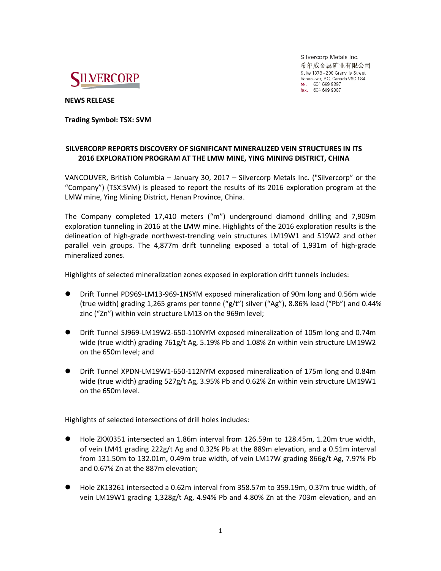

Silvercorp Metals Inc. 希尔威金属矿业有限公司 Suite 1378 - 200 Granville Street Vancouver, BC, Canada V6C 1S4 tel. 604 669 9397 fax. 604 669 9387

**NEWS RELEASE**

#### **Trading Symbol: TSX: SVM**

# **SILVERCORP REPORTS DISCOVERY OF SIGNIFICANT MINERALIZED VEIN STRUCTURES IN ITS 2016 EXPLORATION PROGRAM AT THE LMW MINE, YING MINING DISTRICT, CHINA**

VANCOUVER, British Columbia – January 30, 2017 – Silvercorp Metals Inc. ("Silvercorp" or the "Company") (TSX:SVM) is pleased to report the results of its 2016 exploration program at the LMW mine, Ying Mining District, Henan Province, China.

The Company completed 17,410 meters ("m") underground diamond drilling and 7,909m exploration tunneling in 2016 at the LMW mine. Highlights of the 2016 exploration results is the delineation of high-grade northwest-trending vein structures LM19W1 and S19W2 and other parallel vein groups. The 4,877m drift tunneling exposed a total of 1,931m of high-grade mineralized zones.

Highlights of selected mineralization zones exposed in exploration drift tunnels includes:

- Drift Tunnel PD969-LM13-969-1NSYM exposed mineralization of 90m long and 0.56m wide (true width) grading 1,265 grams per tonne  $({}^{\prime}$ g/t") silver ( ${}^{\prime}$ Ag"), 8.86% lead ( ${}^{\prime}$ Pb") and 0.44% zinc ("Zn") within vein structure LM13 on the 969m level;
- Drift Tunnel SJ969-LM19W2-650-110NYM exposed mineralization of 105m long and 0.74m wide (true width) grading 761g/t Ag, 5.19% Pb and 1.08% Zn within vein structure LM19W2 on the 650m level; and
- Drift Tunnel XPDN-LM19W1-650-112NYM exposed mineralization of 175m long and 0.84m wide (true width) grading 527g/t Ag, 3.95% Pb and 0.62% Zn within vein structure LM19W1 on the 650m level.

Highlights of selected intersections of drill holes includes:

- Hole ZKX0351 intersected an 1.86m interval from 126.59m to 128.45m, 1.20m true width, of vein LM41 grading 222g/t Ag and 0.32% Pb at the 889m elevation, and a 0.51m interval from 131.50m to 132.01m, 0.49m true width, of vein LM17W grading 866g/t Ag, 7.97% Pb and 0.67% Zn at the 887m elevation;
- Hole ZK13261 intersected a 0.62m interval from 358.57m to 359.19m, 0.37m true width, of vein LM19W1 grading 1,328g/t Ag, 4.94% Pb and 4.80% Zn at the 703m elevation, and an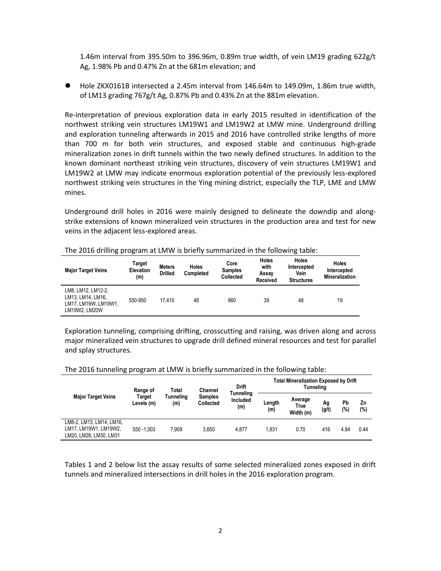1.46m interval from 395.50m to 396.96m, 0.89m true width, of vein LM19 grading 622g/t Ag, 1.98% Pb and 0.47% Zn at the 681m elevation; and

 Hole ZKX0161B intersected a 2.45m interval from 146.64m to 149.09m, 1.86m true width, of LM13 grading 767g/t Ag, 0.87% Pb and 0.43% Zn at the 881m elevation.

Re-interpretation of previous exploration data in early 2015 resulted in identification of the northwest striking vein structures LM19W1 and LM19W2 at LMW mine. Underground drilling and exploration tunneling afterwards in 2015 and 2016 have controlled strike lengths of more than 700 m for both vein structures, and exposed stable and continuous high-grade mineralization zones in drift tunnels within the two newly defined structures. In addition to the known dominant northeast striking vein structures, discovery of vein structures LM19W1 and LM19W2 at LMW may indicate enormous exploration potential of the previously less-explored northwest striking vein structures in the Ying mining district, especially the TLP, LME and LMW mines.

Underground drill holes in 2016 were mainly designed to delineate the downdip and alongstrike extensions of known mineralized vein structures in the production area and test for new veins in the adjacent less-explored areas.

| <b>Major Target Veins</b>                                                        | Target<br><b>Elevation</b><br>(m) | <b>Meters</b><br><b>Drilled</b> | <b>Holes</b><br>Completed | Core<br><b>Samples</b><br>Collected | <b>Holes</b><br>with<br>Assay<br><b>Received</b> | <b>Holes</b><br>Intercepted<br>Vein<br><b>Structures</b> | <b>Holes</b><br>Intercepted<br><b>Mineralization</b> |
|----------------------------------------------------------------------------------|-----------------------------------|---------------------------------|---------------------------|-------------------------------------|--------------------------------------------------|----------------------------------------------------------|------------------------------------------------------|
| LM8, LM12, LM12-2,<br>LM13, LM14, LM16,<br>LM17, LM19W, LM19W1,<br>LM19W2, LM20W | 550-950                           | 17.410                          | 48                        | 960                                 | 39                                               | 48                                                       | 19                                                   |

The 2016 drilling program at LMW is briefly summarized in the following table:

Exploration tunneling, comprising drifting, crosscutting and raising, was driven along and across major mineralized vein structures to upgrade drill defined mineral resources and test for parallel and splay structures.

The 2016 tunneling program at LMW is briefly summarized in the following table:

|                                                                             | ິ<br>-<br>Range of   | Total            | Channel                     | <b>Drift</b>                 | ຼ<br><b>Total Mineralization Exposed by Drift</b><br><b>Tunneling</b> |                              |             |           |           |
|-----------------------------------------------------------------------------|----------------------|------------------|-----------------------------|------------------------------|-----------------------------------------------------------------------|------------------------------|-------------|-----------|-----------|
| <b>Major Target Veins</b>                                                   | Target<br>Levels (m) | Tunneling<br>(m) | <b>Samples</b><br>Collected | Tunneling<br>Included<br>(m) | Length<br>(m)                                                         | Average<br>True<br>Width (m) | Ag<br>(g/t) | Pb<br>(%) | Zn<br>(%) |
| LM8-2, LM13, LM14, LM16,<br>LM17, LM19W1, LM19W2,<br>LM20. LM28. LM30. LM31 | 550 - 1.003          | 7.909            | 3.650                       | 4.877                        | 1.931                                                                 | 0.70                         | 416         | 4.84      | 0.44      |

Tables 1 and 2 below list the assay results of some selected mineralized zones exposed in drift tunnels and mineralized intersections in drill holes in the 2016 exploration program.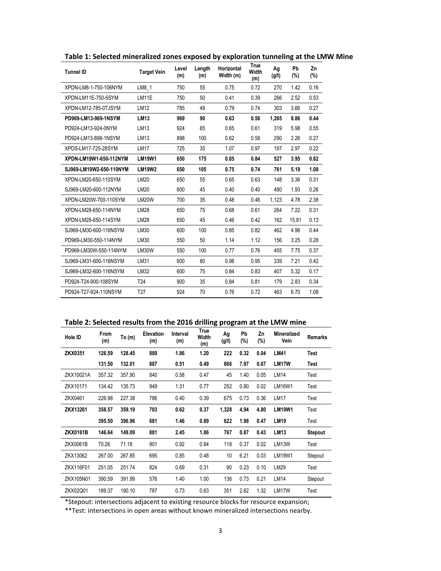| <b>Tunnel ID</b>        | <b>Target Vein</b> | Level<br>(m) | Length<br>(m) | Horizontal<br>Width (m) | <b>True</b><br>Width<br>(m) | Ag<br>(g/t) | Pb<br>$(\%)$ | Zn<br>(%) |
|-------------------------|--------------------|--------------|---------------|-------------------------|-----------------------------|-------------|--------------|-----------|
| XPDN-LM8-1-750-106NYM   | LM8 1              | 750          | 55            | 0.75                    | 0.72                        | 270         | 1.42         | 0.16      |
| XPDN-LM11E-750-5SYM     | LM11E              | 750          | 50            | 0.41                    | 0.39                        | 266         | 2.52         | 0.53      |
| XPDN-LM12-785-0TJSYM    | LM12               | 785          | 49            | 0.79                    | 0.74                        | 303         | 3.66         | 0.27      |
| PD969-LM13-969-1NSYM    | LM13               | 969          | 90            | 0.63                    | 0.56                        | 1,265       | 8.86         | 0.44      |
| PD924-LM13-924-0NYM     | LM13               | 924          | 65            | 0.65                    | 0.61                        | 319         | 5.98         | 0.55      |
| PD924-LM13-898-1NSYM    | LM13               | 898          | 100           | 0.62                    | 0.58                        | 290         | 2.26         | 0.27      |
| XPDS-LM17-725-28SYM     | <b>LM17</b>        | 725          | 35            | 1.07                    | 0.97                        | 197         | 2.97         | 0.22      |
| XPDN-LM19W1-650-112NYM  | <b>LM19W1</b>      | 650          | 175           | 0.85                    | 0.84                        | 527         | 3.95         | 0.62      |
| SJ969-LM19W2-650-110NYM | <b>LM19W2</b>      | 650          | 105           | 0.75                    | 0.74                        | 761         | 5.19         | 1.08      |
| XPDN-LM20-650-110SYM    | LM20               | 650          | 55            | 0.65                    | 0.63                        | 148         | 3.36         | 0.31      |
| SJ969-LM20-600-112NYM   | LM20               | 600          | 45            | 0.40                    | 0.40                        | 480         | 1.93         | 0.26      |
| XPDN-LM20W-700-110SYM   | <b>LM20W</b>       | 700          | 35            | 0.48                    | 0.46                        | 1,123       | 4.78         | 2.38      |
| XPDN-LM28-650-114NYM    | <b>LM28</b>        | 650          | 75            | 0.68                    | 0.61                        | 264         | 7.22         | 0.31      |
| XPDN-LM28-650-114SYM    | LM28               | 650          | 45            | 0.46                    | 0.42                        | 162         | 15.81        | 0.13      |
| SJ969-LM30-600-116NSYM  | LM30               | 600          | 100           | 0.85                    | 0.82                        | 462         | 4.96         | 0.44      |
| PD969-LM30-550-114NYM   | LM30               | 550          | 50            | 1.14                    | 1.12                        | 156         | 3.25         | 0.28      |
| PD969-LM30W-550-114NYM  | LM30W              | 550          | 100           | 0.77                    | 0.76                        | 455         | 7.75         | 0.37      |
| SJ969-LM31-600-116NSYM  | LM31               | 600          | 80            | 0.98                    | 0.95                        | 339         | 7.21         | 0.42      |
| SJ969-LM32-600-116NSYM  | LM32               | 600          | 75            | 0.84                    | 0.83                        | 407         | 5.32         | 0.17      |
| PD924-T24-900-108SYM    | T <sub>24</sub>    | 900          | 35            | 0.84                    | 0.81                        | 179         | 2.83         | 0.34      |
| PD924-T27-924-110NSYM   | T <sub>27</sub>    | 924          | 70            | 0.76                    | 0.72                        | 463         | 6.70         | 1.08      |

**Table 1: Selected mineralized zones exposed by exploration tunneling at the LMW Mine**

## **Table 2: Selected results from the 2016 drilling program at the LMW mine**

| Hole ID         | From<br>(m) | To (m) | <b>Elevation</b><br>(m) | Interval<br>(m) | True<br>Width<br>(m) | Ag<br>(g/t) | Pb<br>$(\%)$ | Zn<br>(%) | <b>Mineralized</b><br>Vein | <b>Remarks</b> |
|-----------------|-------------|--------|-------------------------|-----------------|----------------------|-------------|--------------|-----------|----------------------------|----------------|
| <b>ZKX0351</b>  | 126.59      | 128.45 | 889                     | 1.86            | 1.20                 | 222         | 0.32         | 0.04      | <b>LM41</b>                | Test           |
|                 | 131.50      | 132.01 | 887                     | 0.51            | 0.49                 | 866         | 7.97         | 0.67      | LM17W                      | Test           |
| ZKX10021A       | 357.32      | 357.90 | 840                     | 0.58            | 0.47                 | 45          | 1.40         | 0.05      | LM14                       | Test           |
| ZKX10171        | 134.42      | 135.73 | 949                     | 1.31            | 0.77                 | 252         | 0.80         | 0.02      | LM16W1                     | Test           |
| ZKX0461         | 226.98      | 227.38 | 786                     | 0.40            | 0.39                 | 675         | 0.73         | 0.36      | <b>LM17</b>                | Test           |
| ZKX13261        | 358.57      | 359.19 | 703                     | 0.62            | 0.37                 | 1,328       | 4.94         | 4.80      | <b>LM19W1</b>              | Test           |
|                 | 395.50      | 396.96 | 681                     | 1.46            | 0.89                 | 622         | 1.98         | 0.47      | <b>LM19</b>                | Test           |
| <b>ZKX0161B</b> | 146.64      | 149.09 | 881                     | 2.45            | 1.86                 | 767         | 0.87         | 0.43      | LM13                       | <b>Stepout</b> |
| ZKX0061B        | 70.26       | 71.18  | 901                     | 0.92            | 0.84                 | 118         | 0.37         | 0.02      | LM <sub>13</sub> W         | Test           |
| ZKX13062        | 267.00      | 267.85 | 695                     | 0.85            | 0.48                 | 10          | 6.21         | 0.03      | LM19W1                     | Stepout        |
| ZKX116F01       | 251.05      | 251.74 | 824                     | 0.69            | 0.31                 | 90          | 0.23         | 0.10      | LM29                       | Test           |
| ZKX105N01       | 390.59      | 391.99 | 576                     | 1.40            | 1.00                 | 136         | 0.73         | 0.21      | LM14                       | Stepout        |
| ZKX02Q01        | 189.37      | 190.10 | 787                     | 0.73            | 0.63                 | 351         | 2.62         | 1.32      | LM17W                      | Test           |

\*Stepout: intersections adjacent to existing resource blocks for resource expansion;

\*\*Test: intersections in open areas without known mineralized intersections nearby.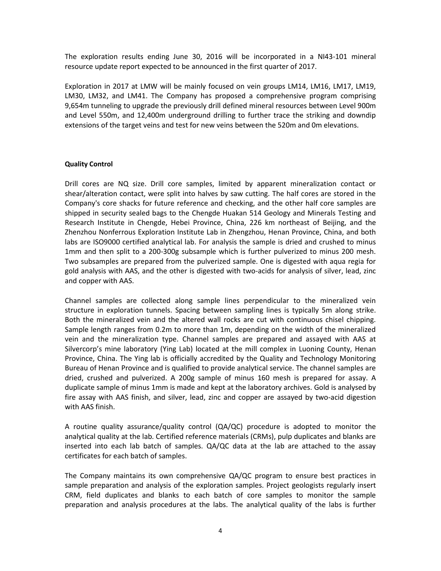The exploration results ending June 30, 2016 will be incorporated in a NI43-101 mineral resource update report expected to be announced in the first quarter of 2017.

Exploration in 2017 at LMW will be mainly focused on vein groups LM14, LM16, LM17, LM19, LM30, LM32, and LM41. The Company has proposed a comprehensive program comprising 9,654m tunneling to upgrade the previously drill defined mineral resources between Level 900m and Level 550m, and 12,400m underground drilling to further trace the striking and downdip extensions of the target veins and test for new veins between the 520m and 0m elevations.

## **Quality Control**

Drill cores are NQ size. Drill core samples, limited by apparent mineralization contact or shear/alteration contact, were split into halves by saw cutting. The half cores are stored in the Company's core shacks for future reference and checking, and the other half core samples are shipped in security sealed bags to the Chengde Huakan 514 Geology and Minerals Testing and Research Institute in Chengde, Hebei Province, China, 226 km northeast of Beijing, and the Zhenzhou Nonferrous Exploration Institute Lab in Zhengzhou, Henan Province, China, and both labs are ISO9000 certified analytical lab. For analysis the sample is dried and crushed to minus 1mm and then split to a 200-300g subsample which is further pulverized to minus 200 mesh. Two subsamples are prepared from the pulverized sample. One is digested with aqua regia for gold analysis with AAS, and the other is digested with two-acids for analysis of silver, lead, zinc and copper with AAS.

Channel samples are collected along sample lines perpendicular to the mineralized vein structure in exploration tunnels. Spacing between sampling lines is typically 5m along strike. Both the mineralized vein and the altered wall rocks are cut with continuous chisel chipping. Sample length ranges from 0.2m to more than 1m, depending on the width of the mineralized vein and the mineralization type. Channel samples are prepared and assayed with AAS at Silvercorp's mine laboratory (Ying Lab) located at the mill complex in Luoning County, Henan Province, China. The Ying lab is officially accredited by the Quality and Technology Monitoring Bureau of Henan Province and is qualified to provide analytical service. The channel samples are dried, crushed and pulverized. A 200g sample of minus 160 mesh is prepared for assay. A duplicate sample of minus 1mm is made and kept at the laboratory archives. Gold is analysed by fire assay with AAS finish, and silver, lead, zinc and copper are assayed by two-acid digestion with AAS finish.

A routine quality assurance/quality control (QA/QC) procedure is adopted to monitor the analytical quality at the lab. Certified reference materials (CRMs), pulp duplicates and blanks are inserted into each lab batch of samples. QA/QC data at the lab are attached to the assay certificates for each batch of samples.

The Company maintains its own comprehensive QA/QC program to ensure best practices in sample preparation and analysis of the exploration samples. Project geologists regularly insert CRM, field duplicates and blanks to each batch of core samples to monitor the sample preparation and analysis procedures at the labs. The analytical quality of the labs is further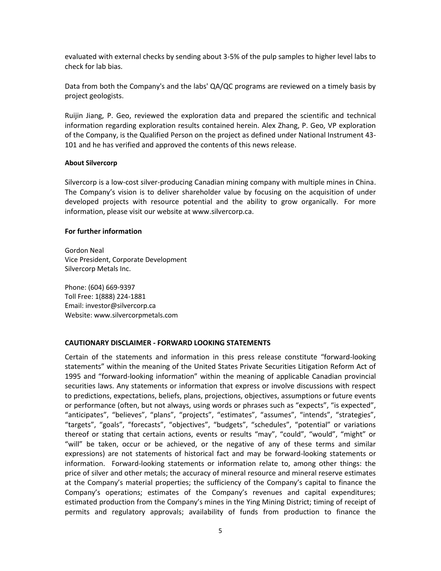evaluated with external checks by sending about 3-5% of the pulp samples to higher level labs to check for lab bias.

Data from both the Company's and the labs' QA/QC programs are reviewed on a timely basis by project geologists.

Ruijin Jiang, P. Geo, reviewed the exploration data and prepared the scientific and technical information regarding exploration results contained herein. Alex Zhang, P. Geo, VP exploration of the Company, is the Qualified Person on the project as defined under National Instrument 43- 101 and he has verified and approved the contents of this news release.

#### **About Silvercorp**

Silvercorp is a low-cost silver-producing Canadian mining company with multiple mines in China. The Company's vision is to deliver shareholder value by focusing on the acquisition of under developed projects with resource potential and the ability to grow organically. For more information, please visit our website at www.silvercorp.ca.

## **For further information**

Gordon Neal Vice President, Corporate Development Silvercorp Metals Inc.

Phone: (604) 669-9397 Toll Free: 1(888) 224-1881 Email: investor@silvercorp.ca Website: www.silvercorpmetals.com

## **CAUTIONARY DISCLAIMER - FORWARD LOOKING STATEMENTS**

Certain of the statements and information in this press release constitute "forward-looking statements" within the meaning of the United States Private Securities Litigation Reform Act of 1995 and "forward-looking information" within the meaning of applicable Canadian provincial securities laws. Any statements or information that express or involve discussions with respect to predictions, expectations, beliefs, plans, projections, objectives, assumptions or future events or performance (often, but not always, using words or phrases such as "expects", "is expected", "anticipates", "believes", "plans", "projects", "estimates", "assumes", "intends", "strategies", "targets", "goals", "forecasts", "objectives", "budgets", "schedules", "potential" or variations thereof or stating that certain actions, events or results "may", "could", "would", "might" or "will" be taken, occur or be achieved, or the negative of any of these terms and similar expressions) are not statements of historical fact and may be forward-looking statements or information. Forward-looking statements or information relate to, among other things: the price of silver and other metals; the accuracy of mineral resource and mineral reserve estimates at the Company's material properties; the sufficiency of the Company's capital to finance the Company's operations; estimates of the Company's revenues and capital expenditures; estimated production from the Company's mines in the Ying Mining District; timing of receipt of permits and regulatory approvals; availability of funds from production to finance the